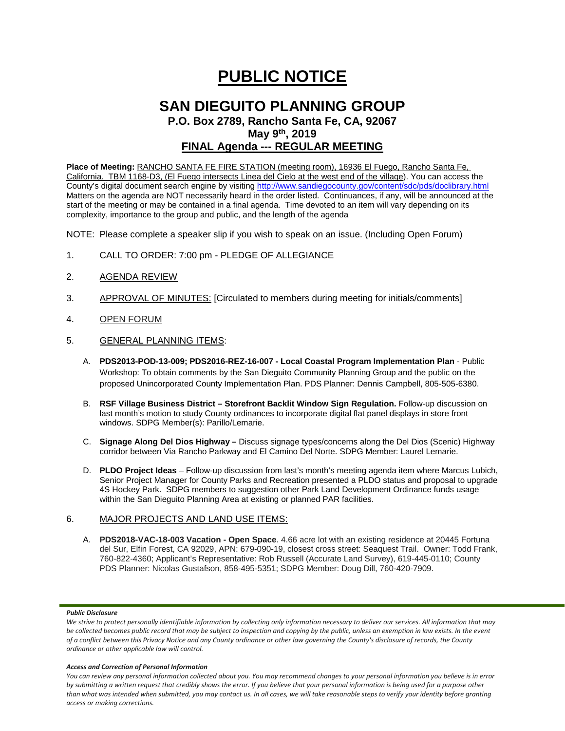# **PUBLIC NOTICE**

# **SAN DIEGUITO PLANNING GROUP P.O. Box 2789, Rancho Santa Fe, CA, 92067**

**May 9th, 2019**

# **FINAL Agenda --- REGULAR MEETING**

**Place of Meeting:** RANCHO SANTA FE FIRE STATION (meeting room), 16936 El Fuego, Rancho Santa Fe, California. TBM 1168-D3, (El Fuego intersects Linea del Cielo at the west end of the village). You can access the County's digital document search engine by visitin[g http://www.sandiegocounty.gov/content/sdc/pds/doclibrary.html](http://www.sandiegocounty.gov/content/sdc/pds/doclibrary.html) Matters on the agenda are NOT necessarily heard in the order listed. Continuances, if any, will be announced at the start of the meeting or may be contained in a final agenda. Time devoted to an item will vary depending on its complexity, importance to the group and public, and the length of the agenda

NOTE: Please complete a speaker slip if you wish to speak on an issue. (Including Open Forum)

- 1. CALL TO ORDER: 7:00 pm PLEDGE OF ALLEGIANCE
- 2. AGENDA REVIEW
- 3. APPROVAL OF MINUTES: [Circulated to members during meeting for initials/comments]
- 4. OPEN FORUM
- 5. GENERAL PLANNING ITEMS:
	- A. **PDS2013-POD-13-009; PDS2016-REZ-16-007 - Local Coastal Program Implementation Plan** Public Workshop: To obtain comments by the San Dieguito Community Planning Group and the public on the proposed Unincorporated County Implementation Plan. PDS Planner: Dennis Campbell, 805-505-6380.
	- B. **RSF Village Business District – Storefront Backlit Window Sign Regulation.** Follow-up discussion on last month's motion to study County ordinances to incorporate digital flat panel displays in store front windows. SDPG Member(s): Parillo/Lemarie.
	- C. **Signage Along Del Dios Highway –** Discuss signage types/concerns along the Del Dios (Scenic) Highway corridor between Via Rancho Parkway and El Camino Del Norte. SDPG Member: Laurel Lemarie.
	- D. **PLDO Project Ideas** Follow-up discussion from last's month's meeting agenda item where Marcus Lubich, Senior Project Manager for County Parks and Recreation presented a PLDO status and proposal to upgrade 4S Hockey Park. SDPG members to suggestion other Park Land Development Ordinance funds usage within the San Dieguito Planning Area at existing or planned PAR facilities.

## 6. MAJOR PROJECTS AND LAND USE ITEMS:

A. **PDS2018-VAC-18-003 Vacation - Open Space**. 4.66 acre lot with an existing residence at 20445 Fortuna del Sur, Elfin Forest, CA 92029, APN: 679-090-19, closest cross street: Seaquest Trail. Owner: Todd Frank, 760-822-4360; Applicant's Representative: Rob Russell (Accurate Land Survey), 619-445-0110; County PDS Planner: Nicolas Gustafson, 858-495-5351; SDPG Member: Doug Dill, 760-420-7909.

### *Public Disclosure*

#### *Access and Correction of Personal Information*

*You can review any personal information collected about you. You may recommend changes to your personal information you believe is in error by submitting a written request that credibly shows the error. If you believe that your personal information is being used for a purpose other than what was intended when submitted, you may contact us. In all cases, we will take reasonable steps to verify your identity before granting access or making corrections.*

We strive to protect personally identifiable information by collecting only information necessary to deliver our services. All information that may *be collected becomes public record that may be subject to inspection and copying by the public, unless an exemption in law exists. In the event of a conflict between this Privacy Notice and any County ordinance or other law governing the County's disclosure of records, the County ordinance or other applicable law will control.*